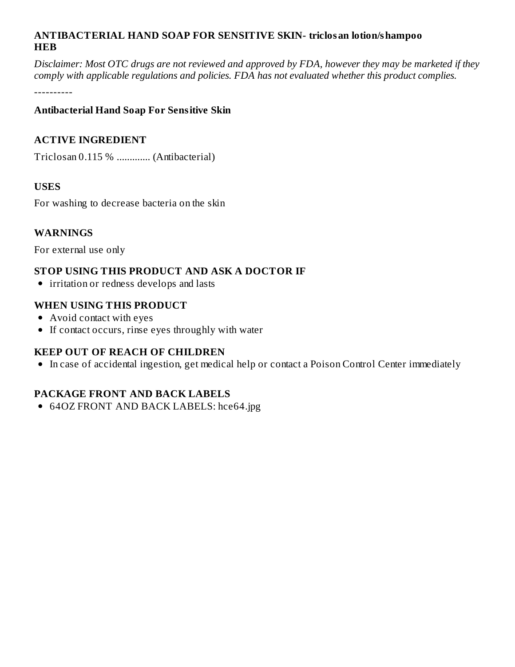#### **ANTIBACTERIAL HAND SOAP FOR SENSITIVE SKIN- triclosan lotion/shampoo HEB**

Disclaimer: Most OTC drugs are not reviewed and approved by FDA, however they may be marketed if they *comply with applicable regulations and policies. FDA has not evaluated whether this product complies.*

----------

#### **Antibacterial Hand Soap For Sensitive Skin**

#### **ACTIVE INGREDIENT**

Triclosan 0.115 % ............. (Antibacterial)

#### **USES**

For washing to decrease bacteria on the skin

#### **WARNINGS**

For external use only

#### **STOP USING THIS PRODUCT AND ASK A DOCTOR IF**

irritation or redness develops and lasts

#### **WHEN USING THIS PRODUCT**

- Avoid contact with eyes
- If contact occurs, rinse eyes throughly with water

#### **KEEP OUT OF REACH OF CHILDREN**

• In case of accidental ingestion, get medical help or contact a Poison Control Center immediately

#### **PACKAGE FRONT AND BACK LABELS**

64OZ FRONT AND BACK LABELS: hce64.jpg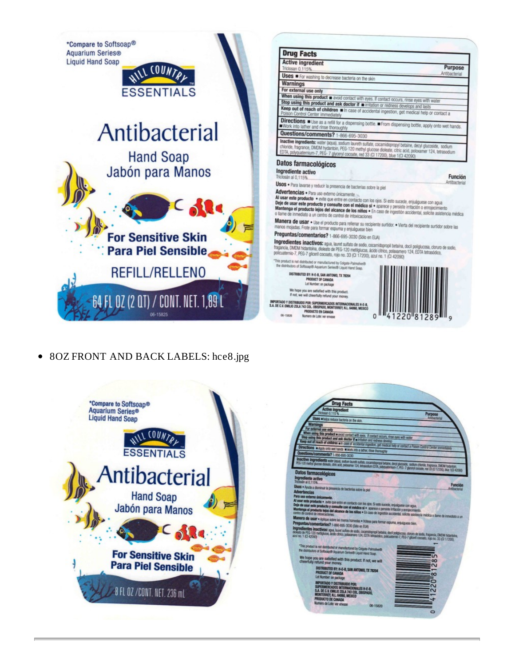\*Compare to Softsoap® **Aquarium Series® Liquid Hand Soap** 



## Antibacterial

**Hand Soap** Jabón para Manos

#### **For Sensitive Skin Para Piel Sensible,**

**REFILL/RELLENO** 

64 FL 0Z (2 QT) / CONT. NET. 1,89 L

06-15825

#### 8OZ FRONT AND BACK LABELS: hce8.jpg  $\bullet$





# Inactive ingredients: water (aqua), sodium laureth sulfate, cocamidopropyl betaine, decyl glucoside, sodium<br>chloride, fragrance, DMDM hydantoin, PEG-120 methyl glucose dioleate, citric acid, poloxamer 124, tetrasodium<br>EDTA

**Función** 

Purpose

Antibacter

Usos · Para lavarse y reducir la presencia de bacterias sobre la piel

Uses For washing to decrease bacteria on the skin

rol Center immediately

Questions/comments? 1-866-695-3030

Advertencias . Para uso externo únicamente

**Datos farmacológicos** 

Ingrediente activo an al 0,115%.

**Drug Facts** 

san 0.115

Warnings

**Active ingredient** 

For external use only<br>When using this product a avoid contact with eyes. If contact occurs, rinse eyes with water

Directions Use as a refill for a dispensing bottle. From dispensing bottle, apply onto wet hands.<br>Work into lather and rinse thoroughly

Stop using this product and ask doctor if wirritation or redness develops and lasts Keep out of reach of children in la case of accidental ingestion, get medical help or contact a

Auver utertural se rara uso exemplo unicamente ...<br>
Al usar este producto e evite que entre en contacto con los ojos. Si esto sucede, enjuáguese con agua<br>
Deje de usar este producto lejos del alcance de los niños e En caso

Manera de usar · Use el producto para rellenar su recipiente surtidor. · Vierta del recipiente surtidor sobre las manos mojadas. Frote para formar espuma y enjuáguese bien

Preguntas/comentarios? 1-866-695-3030 (Sólo en ELIA)

Trapactiontes inactivos: agua, lauret sulfato de sodio, cocarridopropil betaina, docil políglucosa, cloruro de sodio,<br>Itagancia, DMDM hidantoina, dioleato de PEG-120 metilglucos, ácido chrico, polaxamero 124, EDTA tetrasód

.<br>This product is not distributed or manufactured by Colgate-Palmolive<br>the distributors of Softscap® Aquarium Series® Liquid Hand Soap.

**DISTRIBUTED BY: H-E-B, SAN ANTONIO, TX 78204**<br>PRODUCT OF CANADA<br>Lot Number: on package

We hope you are satisfied with this product.<br>If not, we will cheerfully refund your money.

IMPORTADO Y DISTRIBUIDO POR: SUPERMERCADOS INTERNACIONALES IA-E-R.<br>S.A. DE C.V. EMILIO ZOUA PASO COL GIBISPADO, MONTERREY, N.L. 64060, MIEUXCO<br>PHODUSTO EM CANADA